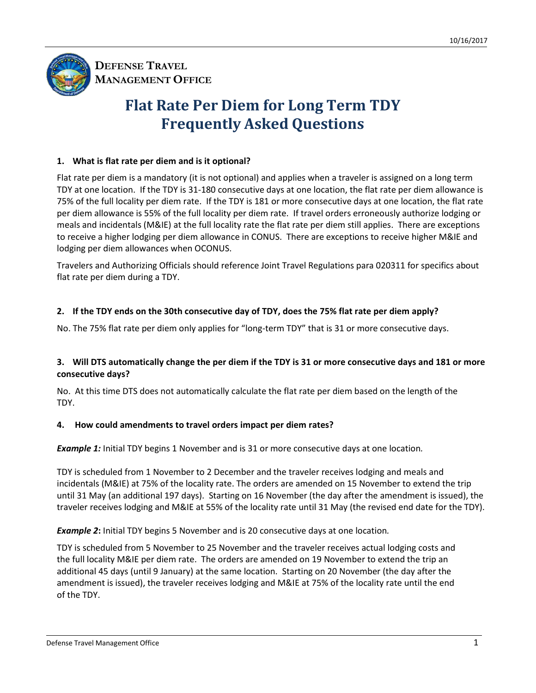

**DEFENSE TRAVEL MANAGEMENT OFFICE**

# **Flat Rate Per Diem for Long Term TDY Frequently Asked Questions**

# **1. What is flat rate per diem and is it optional?**

Flat rate per diem is a mandatory (it is not optional) and applies when a traveler is assigned on a long term TDY at one location. If the TDY is 31-180 consecutive days at one location, the flat rate per diem allowance is 75% of the full locality per diem rate. If the TDY is 181 or more consecutive days at one location, the flat rate per diem allowance is 55% of the full locality per diem rate. If travel orders erroneously authorize lodging or meals and incidentals (M&IE) at the full locality rate the flat rate per diem still applies. There are exceptions to receive a higher lodging per diem allowance in CONUS. There are exceptions to receive higher M&IE and lodging per diem allowances when OCONUS.

Travelers and Authorizing Officials should reference Joint Travel Regulations para 020311 for specifics about flat rate per diem during a TDY.

## **2. If the TDY ends on the 30th consecutive day of TDY, does the 75% flat rate per diem apply?**

No. The 75% flat rate per diem only applies for "long-term TDY" that is 31 or more consecutive days.

### **3. Will DTS automatically change the per diem if the TDY is 31 or more consecutive days and 181 or more consecutive days?**

No. At this time DTS does not automatically calculate the flat rate per diem based on the length of the TDY.

## **4. How could amendments to travel orders impact per diem rates?**

*Example 1:* Initial TDY begins 1 November and is 31 or more consecutive days at one location*.*

TDY is scheduled from 1 November to 2 December and the traveler receives lodging and meals and incidentals (M&IE) at 75% of the locality rate. The orders are amended on 15 November to extend the trip until 31 May (an additional 197 days). Starting on 16 November (the day after the amendment is issued), the traveler receives lodging and M&IE at 55% of the locality rate until 31 May (the revised end date for the TDY).

*Example 2***:** Initial TDY begins 5 November and is 20 consecutive days at one location*.*

TDY is scheduled from 5 November to 25 November and the traveler receives actual lodging costs and the full locality M&IE per diem rate. The orders are amended on 19 November to extend the trip an additional 45 days (until 9 January) at the same location. Starting on 20 November (the day after the amendment is issued), the traveler receives lodging and M&IE at 75% of the locality rate until the end of the TDY.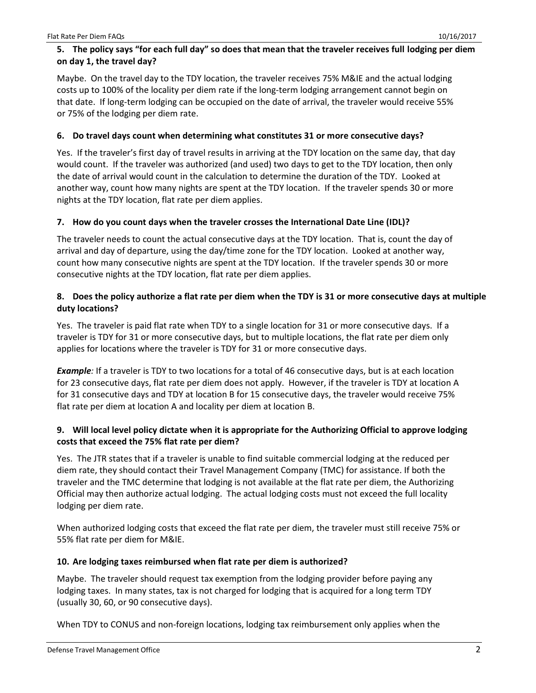## **5. The policy says "for each full day" so does that mean that the traveler receives full lodging per diem on day 1, the travel day?**

Maybe. On the travel day to the TDY location, the traveler receives 75% M&IE and the actual lodging costs up to 100% of the locality per diem rate if the long-term lodging arrangement cannot begin on that date. If long-term lodging can be occupied on the date of arrival, the traveler would receive 55% or 75% of the lodging per diem rate.

## **6. Do travel days count when determining what constitutes 31 or more consecutive days?**

Yes. If the traveler's first day of travel results in arriving at the TDY location on the same day, that day would count. If the traveler was authorized (and used) two days to get to the TDY location, then only the date of arrival would count in the calculation to determine the duration of the TDY. Looked at another way, count how many nights are spent at the TDY location. If the traveler spends 30 or more nights at the TDY location, flat rate per diem applies.

## **7. How do you count days when the traveler crosses the International Date Line (IDL)?**

The traveler needs to count the actual consecutive days at the TDY location. That is, count the day of arrival and day of departure, using the day/time zone for the TDY location. Looked at another way, count how many consecutive nights are spent at the TDY location. If the traveler spends 30 or more consecutive nights at the TDY location, flat rate per diem applies.

## **8. Does the policy authorize a flat rate per diem when the TDY is 31 or more consecutive days at multiple duty locations?**

Yes. The traveler is paid flat rate when TDY to a single location for 31 or more consecutive days. If a traveler is TDY for 31 or more consecutive days, but to multiple locations, the flat rate per diem only applies for locations where the traveler is TDY for 31 or more consecutive days.

*Example:* If a traveler is TDY to two locations for a total of 46 consecutive days, but is at each location for 23 consecutive days, flat rate per diem does not apply. However, if the traveler is TDY at location A for 31 consecutive days and TDY at location B for 15 consecutive days, the traveler would receive 75% flat rate per diem at location A and locality per diem at location B.

## **9. Will local level policy dictate when it is appropriate for the Authorizing Official to approve lodging costs that exceed the 75% flat rate per diem?**

Yes. The JTR states that if a traveler is unable to find suitable commercial lodging at the reduced per diem rate, they should contact their Travel Management Company (TMC) for assistance. If both the traveler and the TMC determine that lodging is not available at the flat rate per diem, the Authorizing Official may then authorize actual lodging. The actual lodging costs must not exceed the full locality lodging per diem rate.

When authorized lodging costs that exceed the flat rate per diem, the traveler must still receive 75% or 55% flat rate per diem for M&IE.

## **10. Are lodging taxes reimbursed when flat rate per diem is authorized?**

Maybe. The traveler should request tax exemption from the lodging provider before paying any lodging taxes. In many states, tax is not charged for lodging that is acquired for a long term TDY (usually 30, 60, or 90 consecutive days).

When TDY to CONUS and non-foreign locations, lodging tax reimbursement only applies when the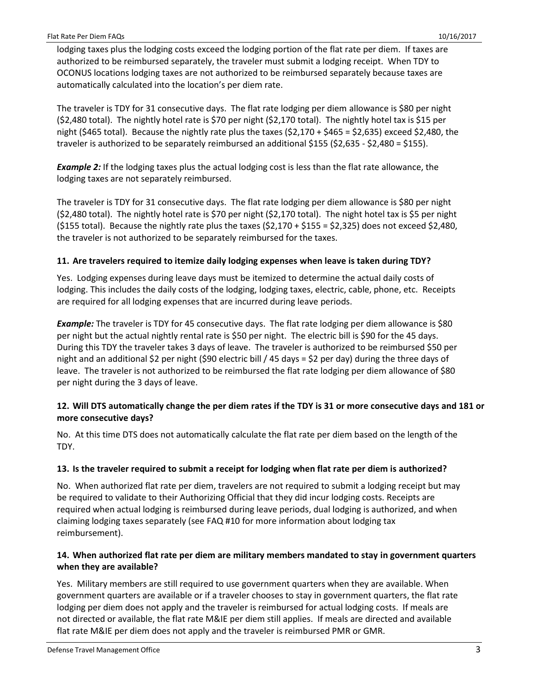lodging taxes plus the lodging costs exceed the lodging portion of the flat rate per diem. If taxes are authorized to be reimbursed separately, the traveler must submit a lodging receipt. When TDY to OCONUS locations lodging taxes are not authorized to be reimbursed separately because taxes are automatically calculated into the location's per diem rate.

The traveler is TDY for 31 consecutive days. The flat rate lodging per diem allowance is \$80 per night (\$2,480 total). The nightly hotel rate is \$70 per night (\$2,170 total). The nightly hotel tax is \$15 per night (\$465 total). Because the nightly rate plus the taxes (\$2,170 + \$465 = \$2,635) exceed \$2,480, the traveler is authorized to be separately reimbursed an additional \$155 (\$2,635 - \$2,480 = \$155).

*Example 2:* If the lodging taxes plus the actual lodging cost is less than the flat rate allowance, the lodging taxes are not separately reimbursed.

The traveler is TDY for 31 consecutive days. The flat rate lodging per diem allowance is \$80 per night (\$2,480 total). The nightly hotel rate is \$70 per night (\$2,170 total). The night hotel tax is \$5 per night (\$155 total). Because the nightly rate plus the taxes (\$2,170 + \$155 = \$2,325) does not exceed \$2,480, the traveler is not authorized to be separately reimbursed for the taxes.

### **11. Are travelers required to itemize daily lodging expenses when leave is taken during TDY?**

Yes. Lodging expenses during leave days must be itemized to determine the actual daily costs of lodging. This includes the daily costs of the lodging, lodging taxes, electric, cable, phone, etc. Receipts are required for all lodging expenses that are incurred during leave periods.

*Example:* The traveler is TDY for 45 consecutive days. The flat rate lodging per diem allowance is \$80 per night but the actual nightly rental rate is \$50 per night. The electric bill is \$90 for the 45 days. During this TDY the traveler takes 3 days of leave. The traveler is authorized to be reimbursed \$50 per night and an additional \$2 per night (\$90 electric bill / 45 days = \$2 per day) during the three days of leave. The traveler is not authorized to be reimbursed the flat rate lodging per diem allowance of \$80 per night during the 3 days of leave.

### **12. Will DTS automatically change the per diem rates if the TDY is 31 or more consecutive days and 181 or more consecutive days?**

No. At this time DTS does not automatically calculate the flat rate per diem based on the length of the TDY.

#### **13. Is the traveler required to submit a receipt for lodging when flat rate per diem is authorized?**

No. When authorized flat rate per diem, travelers are not required to submit a lodging receipt but may be required to validate to their Authorizing Official that they did incur lodging costs. Receipts are required when actual lodging is reimbursed during leave periods, dual lodging is authorized, and when claiming lodging taxes separately (see FAQ #10 for more information about lodging tax reimbursement).

### **14. When authorized flat rate per diem are military members mandated to stay in government quarters when they are available?**

Yes. Military members are still required to use government quarters when they are available. When government quarters are available or if a traveler chooses to stay in government quarters, the flat rate lodging per diem does not apply and the traveler is reimbursed for actual lodging costs. If meals are not directed or available, the flat rate M&IE per diem still applies. If meals are directed and available flat rate M&IE per diem does not apply and the traveler is reimbursed PMR or GMR.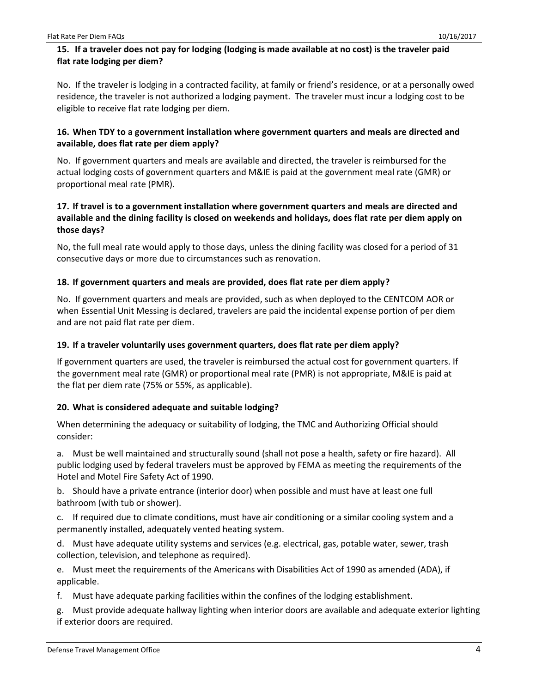## **15. If a traveler does not pay for lodging (lodging is made available at no cost) is the traveler paid flat rate lodging per diem?**

No. If the traveler is lodging in a contracted facility, at family or friend's residence, or at a personally owed residence, the traveler is not authorized a lodging payment. The traveler must incur a lodging cost to be eligible to receive flat rate lodging per diem.

## **16. When TDY to a government installation where government quarters and meals are directed and available, does flat rate per diem apply?**

No. If government quarters and meals are available and directed, the traveler is reimbursed for the actual lodging costs of government quarters and M&IE is paid at the government meal rate (GMR) or proportional meal rate (PMR).

## **17. If travel is to a government installation where government quarters and meals are directed and available and the dining facility is closed on weekends and holidays, does flat rate per diem apply on those days?**

No, the full meal rate would apply to those days, unless the dining facility was closed for a period of 31 consecutive days or more due to circumstances such as renovation.

## **18. If government quarters and meals are provided, does flat rate per diem apply?**

No. If government quarters and meals are provided, such as when deployed to the CENTCOM AOR or when Essential Unit Messing is declared, travelers are paid the incidental expense portion of per diem and are not paid flat rate per diem.

## **19. If a traveler voluntarily uses government quarters, does flat rate per diem apply?**

If government quarters are used, the traveler is reimbursed the actual cost for government quarters. If the government meal rate (GMR) or proportional meal rate (PMR) is not appropriate, M&IE is paid at the flat per diem rate (75% or 55%, as applicable).

## **20. What is considered adequate and suitable lodging?**

When determining the adequacy or suitability of lodging, the TMC and Authorizing Official should consider:

a. Must be well maintained and structurally sound (shall not pose a health, safety or fire hazard). All public lodging used by federal travelers must be approved by FEMA as meeting the requirements of the Hotel and Motel Fire Safety Act of 1990.

b. Should have a private entrance (interior door) when possible and must have at least one full bathroom (with tub or shower).

c. If required due to climate conditions, must have air conditioning or a similar cooling system and a permanently installed, adequately vented heating system.

d. Must have adequate utility systems and services (e.g. electrical, gas, potable water, sewer, trash collection, television, and telephone as required).

e. Must meet the requirements of the Americans with Disabilities Act of 1990 as amended (ADA), if applicable.

f. Must have adequate parking facilities within the confines of the lodging establishment.

g. Must provide adequate hallway lighting when interior doors are available and adequate exterior lighting if exterior doors are required.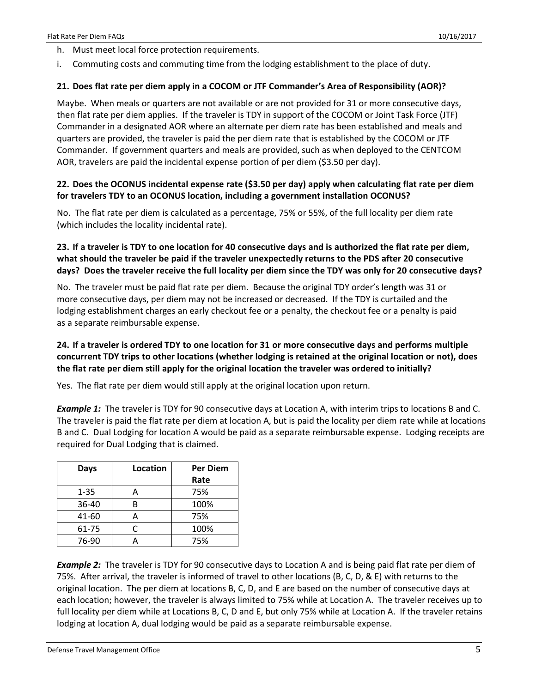- h. Must meet local force protection requirements.
- i. Commuting costs and commuting time from the lodging establishment to the place of duty.

#### **21. Does flat rate per diem apply in a COCOM or JTF Commander's Area of Responsibility (AOR)?**

Maybe. When meals or quarters are not available or are not provided for 31 or more consecutive days, then flat rate per diem applies. If the traveler is TDY in support of the COCOM or Joint Task Force (JTF) Commander in a designated AOR where an alternate per diem rate has been established and meals and quarters are provided, the traveler is paid the per diem rate that is established by the COCOM or JTF Commander. If government quarters and meals are provided, such as when deployed to the CENTCOM AOR, travelers are paid the incidental expense portion of per diem (\$3.50 per day).

## **22. Does the OCONUS incidental expense rate (\$3.50 per day) apply when calculating flat rate per diem for travelers TDY to an OCONUS location, including a government installation OCONUS?**

No. The flat rate per diem is calculated as a percentage, 75% or 55%, of the full locality per diem rate (which includes the locality incidental rate).

## **23. If a traveler is TDY to one location for 40 consecutive days and is authorized the flat rate per diem, what should the traveler be paid if the traveler unexpectedly returns to the PDS after 20 consecutive days? Does the traveler receive the full locality per diem since the TDY was only for 20 consecutive days?**

No. The traveler must be paid flat rate per diem. Because the original TDY order's length was 31 or more consecutive days, per diem may not be increased or decreased. If the TDY is curtailed and the lodging establishment charges an early checkout fee or a penalty, the checkout fee or a penalty is paid as a separate reimbursable expense.

## **24. If a traveler is ordered TDY to one location for 31 or more consecutive days and performs multiple concurrent TDY trips to other locations (whether lodging is retained at the original location or not), does the flat rate per diem still apply for the original location the traveler was ordered to initially?**

Yes. The flat rate per diem would still apply at the original location upon return.

**Example 1:** The traveler is TDY for 90 consecutive days at Location A, with interim trips to locations B and C. The traveler is paid the flat rate per diem at location A, but is paid the locality per diem rate while at locations B and C. Dual Lodging for location A would be paid as a separate reimbursable expense. Lodging receipts are required for Dual Lodging that is claimed.

| Days     | Location | <b>Per Diem</b> |
|----------|----------|-----------------|
|          |          | Rate            |
| $1 - 35$ | A        | 75%             |
| 36-40    | R        | 100%            |
| 41-60    | А        | 75%             |
| 61-75    | C        | 100%            |
| 76-90    |          | 75%             |

*Example 2:* The traveler is TDY for 90 consecutive days to Location A and is being paid flat rate per diem of 75%. After arrival, the traveler is informed of travel to other locations (B, C, D, & E) with returns to the original location. The per diem at locations B, C, D, and E are based on the number of consecutive days at each location; however, the traveler is always limited to 75% while at Location A. The traveler receives up to full locality per diem while at Locations B, C, D and E, but only 75% while at Location A. If the traveler retains lodging at location A, dual lodging would be paid as a separate reimbursable expense.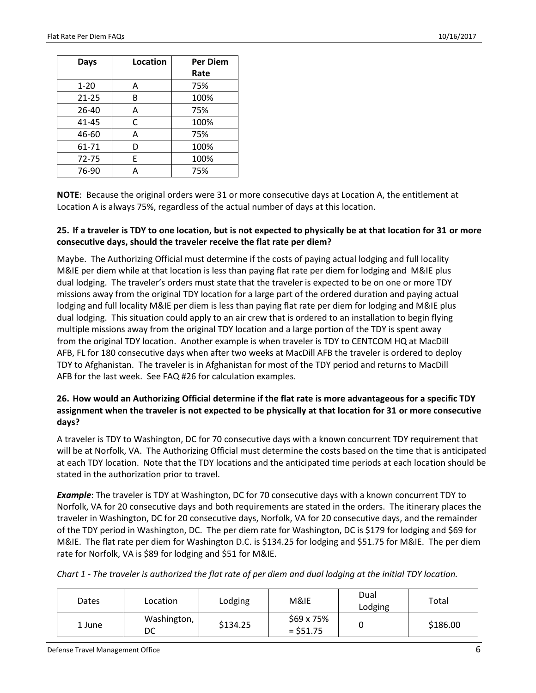| Days      | Location | <b>Per Diem</b> |
|-----------|----------|-----------------|
|           |          | Rate            |
| $1 - 20$  | A        | 75%             |
| $21 - 25$ | В        | 100%            |
| 26-40     | А        | 75%             |
| 41-45     | C        | 100%            |
| 46-60     | A        | 75%             |
| 61-71     | D        | 100%            |
| 72-75     | F        | 100%            |
| 76-90     | А        | 75%             |

**NOTE**: Because the original orders were 31 or more consecutive days at Location A, the entitlement at Location A is always 75%, regardless of the actual number of days at this location.

#### **25. If a traveler is TDY to one location, but is not expected to physically be at that location for 31 or more consecutive days, should the traveler receive the flat rate per diem?**

Maybe. The Authorizing Official must determine if the costs of paying actual lodging and full locality M&IE per diem while at that location is less than paying flat rate per diem for lodging and M&IE plus dual lodging. The traveler's orders must state that the traveler is expected to be on one or more TDY missions away from the original TDY location for a large part of the ordered duration and paying actual lodging and full locality M&IE per diem is less than paying flat rate per diem for lodging and M&IE plus dual lodging. This situation could apply to an air crew that is ordered to an installation to begin flying multiple missions away from the original TDY location and a large portion of the TDY is spent away from the original TDY location. Another example is when traveler is TDY to CENTCOM HQ at MacDill AFB, FL for 180 consecutive days when after two weeks at MacDill AFB the traveler is ordered to deploy TDY to Afghanistan. The traveler is in Afghanistan for most of the TDY period and returns to MacDill AFB for the last week. See FAQ #26 for calculation examples.

## **26. How would an Authorizing Official determine if the flat rate is more advantageous for a specific TDY assignment when the traveler is not expected to be physically at that location for 31 or more consecutive days?**

A traveler is TDY to Washington, DC for 70 consecutive days with a known concurrent TDY requirement that will be at Norfolk, VA. The Authorizing Official must determine the costs based on the time that is anticipated at each TDY location. Note that the TDY locations and the anticipated time periods at each location should be stated in the authorization prior to travel.

*Example*: The traveler is TDY at Washington, DC for 70 consecutive days with a known concurrent TDY to Norfolk, VA for 20 consecutive days and both requirements are stated in the orders. The itinerary places the traveler in Washington, DC for 20 consecutive days, Norfolk, VA for 20 consecutive days, and the remainder of the TDY period in Washington, DC. The per diem rate for Washington, DC is \$179 for lodging and \$69 for M&IE. The flat rate per diem for Washington D.C. is \$134.25 for lodging and \$51.75 for M&IE. The per diem rate for Norfolk, VA is \$89 for lodging and \$51 for M&IE.

| Chart 1 - The traveler is authorized the flat rate of per diem and dual lodging at the initial TDY location. |  |  |  |
|--------------------------------------------------------------------------------------------------------------|--|--|--|
|--------------------------------------------------------------------------------------------------------------|--|--|--|

| Dates  | Location          | Lodging  | M&IE                     | Dual<br>Lodging | Total    |
|--------|-------------------|----------|--------------------------|-----------------|----------|
| 1 June | Washington,<br>DC | \$134.25 | \$69 x 75%<br>$= $51.75$ |                 | \$186.00 |